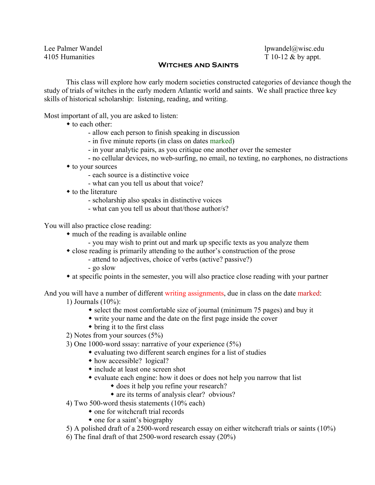Lee Palmer Wandel lpwandel lpwandel lpwandel and lpwandel and lpwandel and lpwandel and lpwandel and lpwandel and lpwandel and lpwandel and lpwandel and lpwandel and lpwandel and lpwandel and lpwandel and lpm and lpm and l 4105 Humanities T 10-12 & by appt.

## **Witches and Saints**

 This class will explore how early modern societies constructed categories of deviance though the study of trials of witches in the early modern Atlantic world and saints. We shall practice three key skills of historical scholarship: listening, reading, and writing.

Most important of all, you are asked to listen:

- to each other:
	- allow each person to finish speaking in discussion
	- in five minute reports (in class on dates marked)
	- in your analytic pairs, as you critique one another over the semester
	- no cellular devices, no web-surfing, no email, no texting, no earphones, no distractions
- to your sources
	- each source is a distinctive voice
	- what can you tell us about that voice?
- to the literature
	- scholarship also speaks in distinctive voices
	- what can you tell us about that/those author/s?

You will also practice close reading:

- much of the reading is available online
	- you may wish to print out and mark up specific texts as you analyze them
- close reading is primarily attending to the author's construction of the prose
	- attend to adjectives, choice of verbs (active? passive?)
		- go slow
- at specific points in the semester, you will also practice close reading with your partner

And you will have a number of different writing assignments, due in class on the date marked: 1) Journals (10%):

- select the most comfortable size of journal (minimum 75 pages) and buy it
- write your name and the date on the first page inside the cover
- $\bullet$  bring it to the first class
- 2) Notes from your sources (5%)
- 3) One 1000-word sssay: narrative of your experience (5%)
	- evaluating two different search engines for a list of studies
		- how accessible? logical?
		- include at least one screen shot
		- evaluate each engine: how it does or does not help you narrow that list
			- does it help you refine your research?
			- are its terms of analysis clear? obvious?
- 4) Two 500-word thesis statements (10% each)
	- one for witchcraft trial records
	- one for a saint's biography
- 5) A polished draft of a 2500-word research essay on either witchcraft trials or saints (10%)
- 6) The final draft of that 2500-word research essay (20%)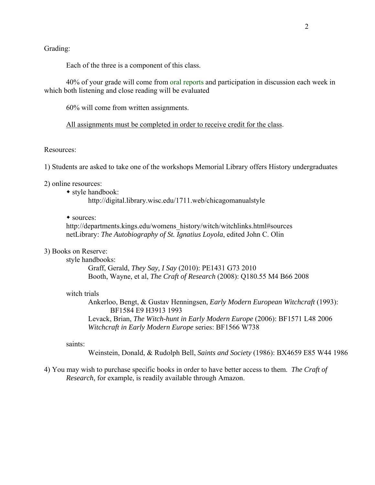## Grading:

Each of the three is a component of this class.

 40% of your grade will come from oral reports and participation in discussion each week in which both listening and close reading will be evaluated

60% will come from written assignments.

All assignments must be completed in order to receive credit for the class.

## Resources:

1) Students are asked to take one of the workshops Memorial Library offers History undergraduates

2) online resources:

• style handbook:

http://digital.library.wisc.edu/1711.web/chicagomanualstyle

## sources:

 http://departments.kings.edu/womens\_history/witch/witchlinks.html#sources netLibrary: *The Autobiography of St. Ignatius Loyola*, edited John C. Olin

#### 3) Books on Reserve:

style handbooks:

 Graff, Gerald, *They Say, I Say* (2010): PE1431 G73 2010 Booth, Wayne, et al, *The Craft of Research* (2008): Q180.55 M4 B66 2008

### witch trials

 Ankerloo, Bengt, & Gustav Henningsen, *Early Modern European Witchcraft* (1993): BF1584 E9 H3913 1993 Levack, Brian, *The Witch-hunt in Early Modern Europe* (2006): BF1571 L48 2006  *Witchcraft in Early Modern Europe* series: BF1566 W738

#### saints:

Weinstein, Donald, & Rudolph Bell, *Saints and Society* (1986): BX4659 E85 W44 1986

4) You may wish to purchase specific books in order to have better access to them. *The Craft of Research*, for example, is readily available through Amazon.